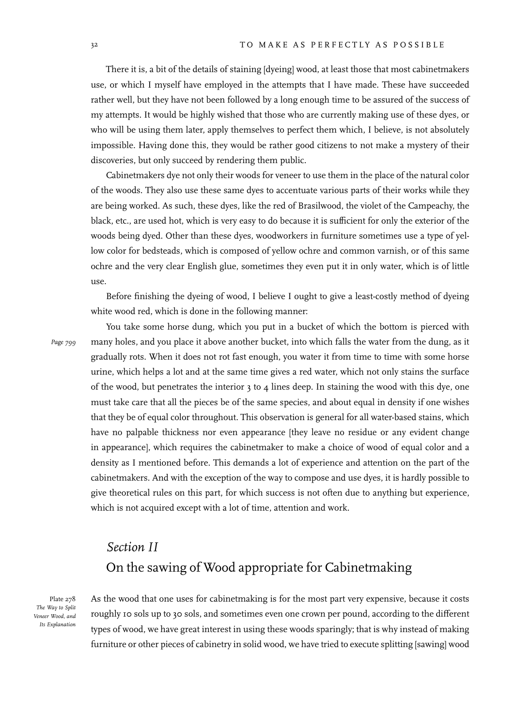There it is, a bit of the details of staining [dyeing] wood, at least those that most cabinetmakers use, or which I myself have employed in the attempts that I have made. These have succeeded rather well, but they have not been followed by a long enough time to be assured of the success of my attempts. It would be highly wished that those who are currently making use of these dyes, or who will be using them later, apply themselves to perfect them which, I believe, is not absolutely impossible. Having done this, they would be rather good citizens to not make a mystery of their discoveries, but only succeed by rendering them public.

 Cabinetmakers dye not only their woods for veneer to use them in the place of the natural color of the woods. They also use these same dyes to accentuate various parts of their works while they are being worked. As such, these dyes, like the red of Brasilwood, the violet of the Campeachy, the black, etc., are used hot, which is very easy to do because it is sufficient for only the exterior of the woods being dyed. Other than these dyes, woodworkers in furniture sometimes use a type of yellow color for bedsteads, which is composed of yellow ochre and common varnish, or of this same ochre and the very clear English glue, sometimes they even put it in only water, which is of little use.

 Before finishing the dyeing of wood, I believe I ought to give a least-costly method of dyeing white wood red, which is done in the following manner:

*Page 799*

 You take some horse dung, which you put in a bucket of which the bottom is pierced with many holes, and you place it above another bucket, into which falls the water from the dung, as it gradually rots. When it does not rot fast enough, you water it from time to time with some horse urine, which helps a lot and at the same time gives a red water, which not only stains the surface of the wood, but penetrates the interior  $3$  to  $4$  lines deep. In staining the wood with this dye, one must take care that all the pieces be of the same species, and about equal in density if one wishes that they be of equal color throughout. This observation is general for all water-based stains, which have no palpable thickness nor even appearance [they leave no residue or any evident change in appearance], which requires the cabinetmaker to make a choice of wood of equal color and a density as I mentioned before. This demands a lot of experience and attention on the part of the cabinetmakers. And with the exception of the way to compose and use dyes, it is hardly possible to give theoretical rules on this part, for which success is not often due to anything but experience, which is not acquired except with a lot of time, attention and work.

## *Section II* On the sawing of Wood appropriate for Cabinetmaking

Plate 278 *The Way to Split Veneer Wood, and Its Explanation* As the wood that one uses for cabinetmaking is for the most part very expensive, because it costs roughly 10 sols up to 30 sols, and sometimes even one crown per pound, according to the different types of wood, we have great interest in using these woods sparingly; that is why instead of making furniture or other pieces of cabinetry in solid wood, we have tried to execute splitting [sawing] wood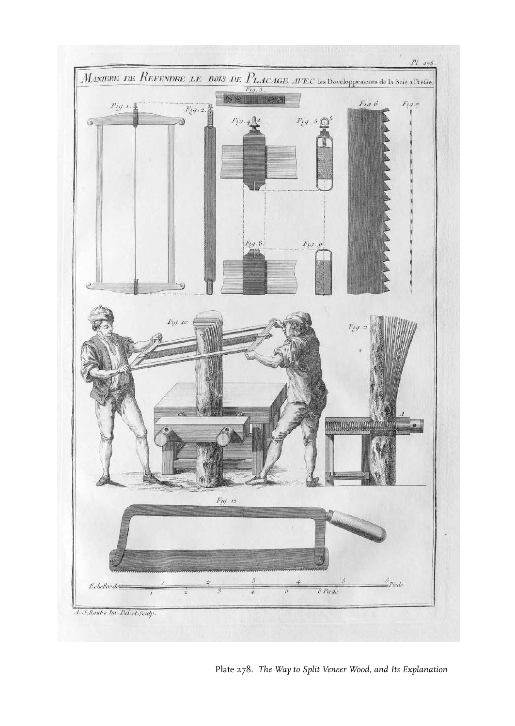

Plate 278. *The Way to Split Veneer Wood, and Its Explanation*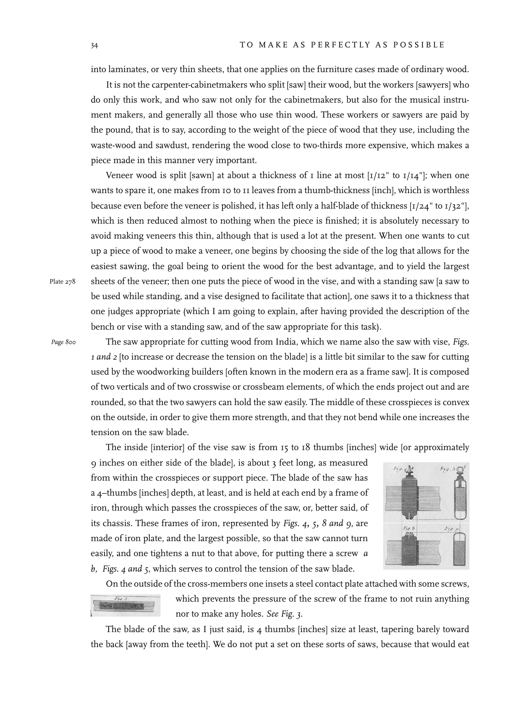into laminates, or very thin sheets, that one applies on the furniture cases made of ordinary wood.

 It is not the carpenter-cabinetmakers who split [saw] their wood, but the workers [sawyers] who do only this work, and who saw not only for the cabinetmakers, but also for the musical instrument makers, and generally all those who use thin wood. These workers or sawyers are paid by the pound, that is to say, according to the weight of the piece of wood that they use, including the waste-wood and sawdust, rendering the wood close to two-thirds more expensive, which makes a piece made in this manner very important.

Veneer wood is split [sawn] at about a thickness of  $I$  line at most [ $I/I2$ " to  $I/I4$ "]; when one wants to spare it, one makes from 10 to 11 leaves from a thumb-thickness [inch], which is worthless because even before the veneer is polished, it has left only a half-blade of thickness [1/24" to 1/32"], which is then reduced almost to nothing when the piece is finished; it is absolutely necessary to avoid making veneers this thin, although that is used a lot at the present. When one wants to cut up a piece of wood to make a veneer, one begins by choosing the side of the log that allows for the easiest sawing, the goal being to orient the wood for the best advantage, and to yield the largest sheets of the veneer; then one puts the piece of wood in the vise, and with a standing saw [a saw to be used while standing, and a vise designed to facilitate that action], one saws it to a thickness that one judges appropriate (which I am going to explain, after having provided the description of the bench or vise with a standing saw, and of the saw appropriate for this task).

*Page 800*

Plate 278

The saw appropriate for cutting wood from India, which we name also the saw with vise, *Figs. 1 and 2* [to increase or decrease the tension on the blade] is a little bit similar to the saw for cutting used by the woodworking builders [often known in the modern era as a frame saw]. It is composed of two verticals and of two crosswise or crossbeam elements, of which the ends project out and are rounded, so that the two sawyers can hold the saw easily. The middle of these crosspieces is convex on the outside, in order to give them more strength, and that they not bend while one increases the tension on the saw blade.

The inside [interior] of the vise saw is from 15 to 18 thumbs [inches] wide [or approximately

9 inches on either side of the blade], is about 3 feet long, as measured from within the crosspieces or support piece. The blade of the saw has a 4–thumbs [inches] depth, at least, and is held at each end by a frame of iron, through which passes the crosspieces of the saw, or, better said, of its chassis. These frames of iron, represented by *Figs. 4*, *5*, *8 and 9*, are made of iron plate, and the largest possible, so that the saw cannot turn easily, and one tightens a nut to that above, for putting there a screw *a b*, *Figs. 4 and 5*, which serves to control the tension of the saw blade.



On the outside of the cross-members one insets a steel contact plate attached with some screws,



which prevents the pressure of the screw of the frame to not ruin anything nor to make any holes. *See Fig. 3.*

The blade of the saw, as I just said, is 4 thumbs [inches] size at least, tapering barely toward the back [away from the teeth]. We do not put a set on these sorts of saws, because that would eat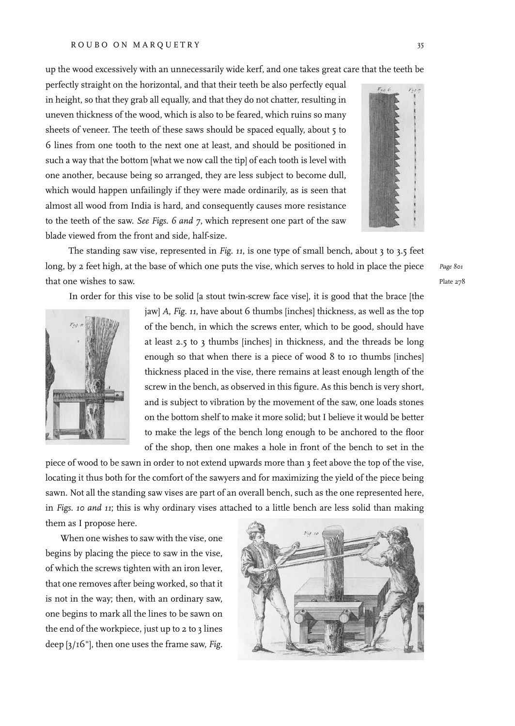up the wood excessively with an unnecessarily wide kerf, and one takes great care that the teeth be

perfectly straight on the horizontal, and that their teeth be also perfectly equal in height, so that they grab all equally, and that they do not chatter, resulting in uneven thickness of the wood, which is also to be feared, which ruins so many sheets of veneer. The teeth of these saws should be spaced equally, about 5 to 6 lines from one tooth to the next one at least, and should be positioned in such a way that the bottom [what we now call the tip] of each tooth is level with one another, because being so arranged, they are less subject to become dull, which would happen unfailingly if they were made ordinarily, as is seen that almost all wood from India is hard, and consequently causes more resistance to the teeth of the saw. *See Figs. 6 and 7*, which represent one part of the saw blade viewed from the front and side, half-size.



 The standing saw vise, represented in *Fig. 11*, is one type of small bench, about 3 to 3.5 feet long, by 2 feet high, at the base of which one puts the vise, which serves to hold in place the piece that one wishes to saw.

Plate 278 *Page 801*

In order for this vise to be solid [a stout twin-screw face vise], it is good that the brace [the



jaw] *A*, *Fig. 11*, have about 6 thumbs [inches] thickness, as well as the top of the bench, in which the screws enter, which to be good, should have at least 2.5 to 3 thumbs [inches] in thickness, and the threads be long enough so that when there is a piece of wood 8 to 10 thumbs [inches] thickness placed in the vise, there remains at least enough length of the screw in the bench, as observed in this figure. As this bench is very short, and is subject to vibration by the movement of the saw, one loads stones on the bottom shelf to make it more solid; but I believe it would be better to make the legs of the bench long enough to be anchored to the floor of the shop, then one makes a hole in front of the bench to set in the

piece of wood to be sawn in order to not extend upwards more than 3 feet above the top of the vise, locating it thus both for the comfort of the sawyers and for maximizing the yield of the piece being sawn. Not all the standing saw vises are part of an overall bench, such as the one represented here, in *Figs. 10 and 11*; this is why ordinary vises attached to a little bench are less solid than making them as I propose here.

When one wishes to saw with the vise, one begins by placing the piece to saw in the vise, of which the screws tighten with an iron lever, that one removes after being worked, so that it is not in the way; then, with an ordinary saw, one begins to mark all the lines to be sawn on the end of the workpiece, just up to  $2$  to  $3$  lines deep [3/16"], then one uses the frame saw, *Fig.* 

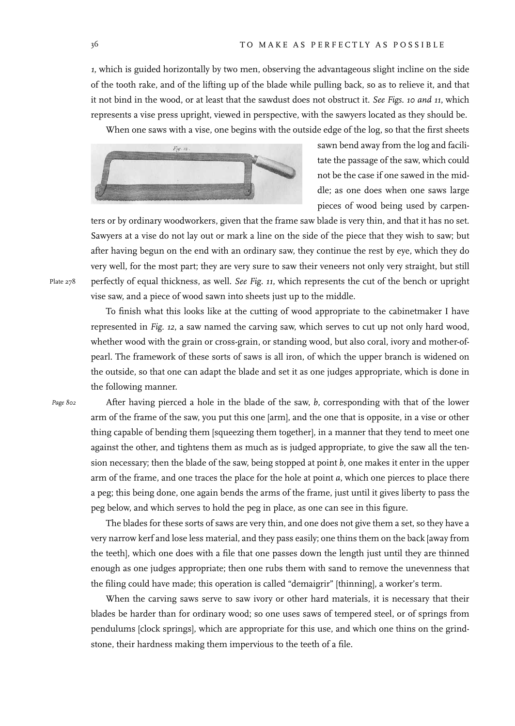*1*, which is guided horizontally by two men, observing the advantageous slight incline on the side of the tooth rake, and of the lifting up of the blade while pulling back, so as to relieve it, and that it not bind in the wood, or at least that the sawdust does not obstruct it. *See Figs. 10 and 11*, which represents a vise press upright, viewed in perspective, with the sawyers located as they should be.

When one saws with a vise, one begins with the outside edge of the log, so that the first sheets



sawn bend away from the log and facilitate the passage of the saw, which could not be the case if one sawed in the middle; as one does when one saws large pieces of wood being used by carpen-

ters or by ordinary woodworkers, given that the frame saw blade is very thin, and that it has no set. Sawyers at a vise do not lay out or mark a line on the side of the piece that they wish to saw; but after having begun on the end with an ordinary saw, they continue the rest by eye, which they do very well, for the most part; they are very sure to saw their veneers not only very straight, but still perfectly of equal thickness, as well. *See Fig. 11*, which represents the cut of the bench or upright vise saw, and a piece of wood sawn into sheets just up to the middle.

To finish what this looks like at the cutting of wood appropriate to the cabinetmaker I have represented in *Fig. 12*, a saw named the carving saw, which serves to cut up not only hard wood, whether wood with the grain or cross-grain, or standing wood, but also coral, ivory and mother-ofpearl. The framework of these sorts of saws is all iron, of which the upper branch is widened on the outside, so that one can adapt the blade and set it as one judges appropriate, which is done in the following manner.

*Page 802*

Plate 278

 After having pierced a hole in the blade of the saw, *b*, corresponding with that of the lower arm of the frame of the saw, you put this one [arm], and the one that is opposite, in a vise or other thing capable of bending them [squeezing them together], in a manner that they tend to meet one against the other, and tightens them as much as is judged appropriate, to give the saw all the tension necessary; then the blade of the saw, being stopped at point *b*, one makes it enter in the upper arm of the frame, and one traces the place for the hole at point *a*, which one pierces to place there a peg; this being done, one again bends the arms of the frame, just until it gives liberty to pass the peg below, and which serves to hold the peg in place, as one can see in this figure.

The blades for these sorts of saws are very thin, and one does not give them a set, so they have a very narrow kerf and lose less material, and they pass easily; one thins them on the back [away from the teeth], which one does with a file that one passes down the length just until they are thinned enough as one judges appropriate; then one rubs them with sand to remove the unevenness that the filing could have made; this operation is called "demaigrir" [thinning], a worker's term.

When the carving saws serve to saw ivory or other hard materials, it is necessary that their blades be harder than for ordinary wood; so one uses saws of tempered steel, or of springs from pendulums [clock springs], which are appropriate for this use, and which one thins on the grindstone, their hardness making them impervious to the teeth of a file.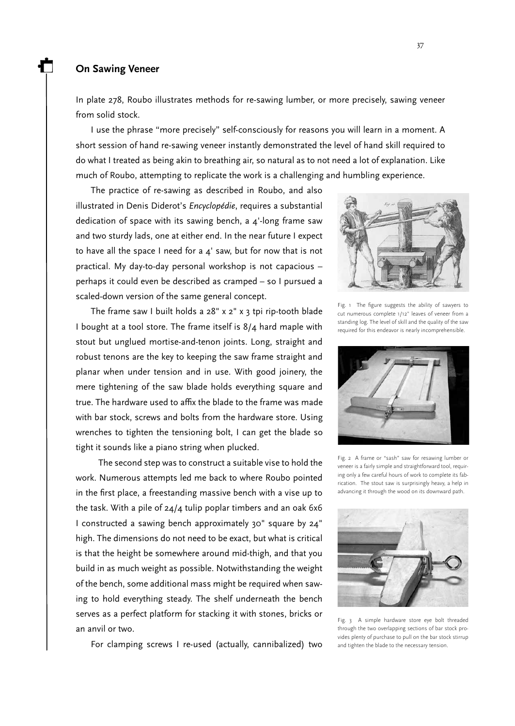## **Con Sawing Veneer**

In plate 278, Roubo illustrates methods for re-sawing lumber, or more precisely, sawing veneer from solid stock.

I use the phrase "more precisely" self-consciously for reasons you will learn in a moment. A short session of hand re-sawing veneer instantly demonstrated the level of hand skill required to do what I treated as being akin to breathing air, so natural as to not need a lot of explanation. Like much of Roubo, attempting to replicate the work is a challenging and humbling experience.

The practice of re-sawing as described in Roubo, and also illustrated in Denis Diderot's *Encyclopédie*, requires a substantial dedication of space with its sawing bench, a 4'-long frame saw and two sturdy lads, one at either end. In the near future I expect to have all the space I need for a  $4'$  saw, but for now that is not practical. My day-to-day personal workshop is not capacious – perhaps it could even be described as cramped – so I pursued a scaled-down version of the same general concept.

The frame saw I built holds a 28" x 2" x 3 tpi rip-tooth blade I bought at a tool store. The frame itself is 8/4 hard maple with stout but unglued mortise-and-tenon joints. Long, straight and robust tenons are the key to keeping the saw frame straight and planar when under tension and in use. With good joinery, the mere tightening of the saw blade holds everything square and true. The hardware used to affix the blade to the frame was made with bar stock, screws and bolts from the hardware store. Using wrenches to tighten the tensioning bolt, I can get the blade so tight it sounds like a piano string when plucked.

 The second step was to construct a suitable vise to hold the work. Numerous attempts led me back to where Roubo pointed in the first place, a freestanding massive bench with a vise up to the task. With a pile of 24/4 tulip poplar timbers and an oak 6x6 I constructed a sawing bench approximately 30" square by 24" high. The dimensions do not need to be exact, but what is critical is that the height be somewhere around mid-thigh, and that you build in as much weight as possible. Notwithstanding the weight of the bench, some additional mass might be required when sawing to hold everything steady. The shelf underneath the bench serves as a perfect platform for stacking it with stones, bricks or an anvil or two.

For clamping screws I re-used (actually, cannibalized) two



Fig. 1 The figure suggests the ability of sawyers to cut numerous complete 1/12" leaves of veneer from a standing log. The level of skill and the quality of the saw required for this endeavor is nearly incomprehensible.



Fig. 2 A frame or "sash" saw for resawing lumber or veneer is a fairly simple and straightforward tool, requiring only a few careful hours of work to complete its fabrication. The stout saw is surprisingly heavy, a help in advancing it through the wood on its downward path.



Fig. 3 A simple hardware store eye bolt threaded through the two overlapping sections of bar stock provides plenty of purchase to pull on the bar stock stirrup and tighten the blade to the necessary tension.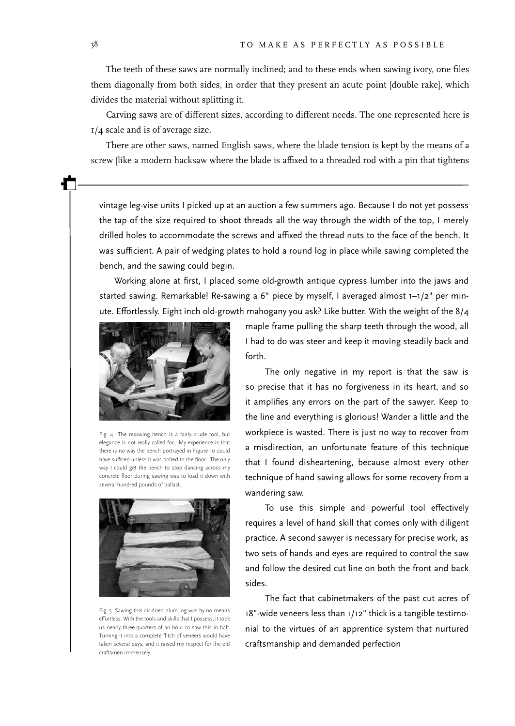The teeth of these saws are normally inclined; and to these ends when sawing ivory, one files them diagonally from both sides, in order that they present an acute point [double rake], which divides the material without splitting it.

 Carving saws are of different sizes, according to different needs. The one represented here is  $1/4$  scale and is of average size.

There are other saws, named English saws, where the blade tension is kept by the means of a screw [like a modern hacksaw where the blade is affixed to a threaded rod with a pin that tightens

vintage leg-vise units I picked up at an auction a few summers ago. Because I do not yet possess the tap of the size required to shoot threads all the way through the width of the top, I merely drilled holes to accommodate the screws and affixed the thread nuts to the face of the bench. It was sufficient. A pair of wedging plates to hold a round log in place while sawing completed the bench, and the sawing could begin.

Working alone at first, I placed some old-growth antique cypress lumber into the jaws and started sawing. Remarkable! Re-sawing a 6" piece by myself, I averaged almost 1–1/2" per minute. Effortlessly. Eight inch old-growth mahogany you ask? Like butter. With the weight of the 8/4



Fig. 4 The resawing bench is a fairly crude tool, but elegance is not really called for. My experience is that there is no way the bench portrayed in Figure 10 could have sufficed unless it was bolted to the floor. The only way I could get the bench to stop dancing across my concrete floor during sawing was to load it down with several hundred pounds of ballast.



Fig. 5 Sawing this air-dried plum log was by no means effortless. With the tools and skills that I possess, it took us nearly three-quarters of an hour to saw this in half. Turning it into a complete flitch of veneers would have taken several days, and it raised my respect for the old craftsmen immensely.

maple frame pulling the sharp teeth through the wood, all I had to do was steer and keep it moving steadily back and forth.

The only negative in my report is that the saw is so precise that it has no forgiveness in its heart, and so it amplifies any errors on the part of the sawyer. Keep to the line and everything is glorious! Wander a little and the workpiece is wasted. There is just no way to recover from a misdirection, an unfortunate feature of this technique that I found disheartening, because almost every other technique of hand sawing allows for some recovery from a wandering saw.

To use this simple and powerful tool effectively requires a level of hand skill that comes only with diligent practice. A second sawyer is necessary for precise work, as two sets of hands and eyes are required to control the saw and follow the desired cut line on both the front and back sides.

The fact that cabinetmakers of the past cut acres of 18"-wide veneers less than 1/12" thick is a tangible testimonial to the virtues of an apprentice system that nurtured craftsmanship and demanded perfection

Ċ